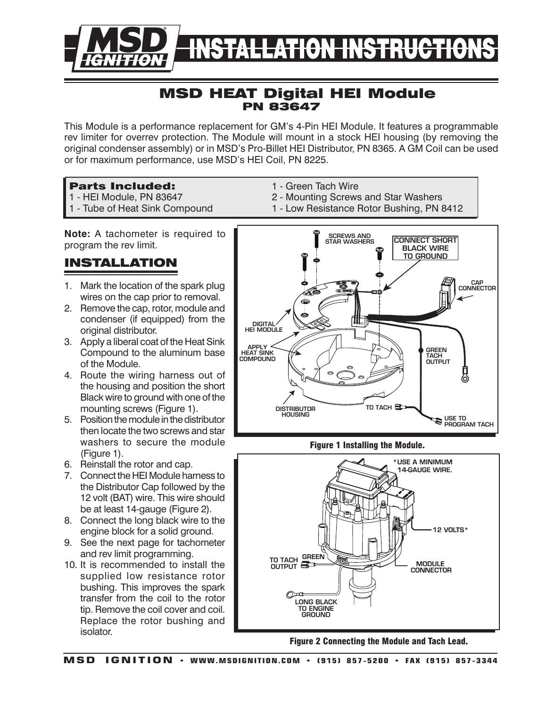

## MSD HEAT Digital HEI Module PN 83647

This Module is a performance replacement for GM's 4-Pin HEI Module. It features a programmable rev limiter for overrev protection. The Module will mount in a stock HEI housing (by removing the original condenser assembly) or in MSD's Pro-Billet HEI Distributor, PN 8365. A GM Coil can be used or for maximum performance, use MSD's HEI Coil, PN 8225.

### Parts Included:

- 1 HEI Module, PN 83647
- 1 Tube of Heat Sink Compound
- 1 Green Tach Wire
- 2 Mounting Screws and Star Washers
- 1 Low Resistance Rotor Bushing, PN 8412

**Note:** A tachometer is required to

# Installation

- 1. Mark the location of the spark plug wires on the cap prior to removal.
- 2. Remove the cap, rotor, module and condenser (if equipped) from the original distributor.
- 3. Apply a liberal coat of the Heat Sink Compound to the aluminum base of the Module.
- 4. Route the wiring harness out of the housing and position the short Black wire to ground with one of the mounting screws (Figure 1).
- 5. Position the module in the distributor then locate the two screws and star washers to secure the module (Figure 1).
- 6. Reinstall the rotor and cap.
- 7. Connect the HEI Module harness to the Distributor Cap followed by the 12 volt (BAT) wire. This wire should be at least 14-gauge (Figure 2).
- 8. Connect the long black wire to the engine block for a solid ground.
- 9. See the next page for tachometer and rev limit programming.
- 10. It is recommended to install the supplied low resistance rotor bushing. This improves the spark transfer from the coil to the rotor tip. Remove the coil cover and coil. Replace the rotor bushing and isolator.



### Figure 1 Installing the Module.



Figure 2 Connecting the Module and Tach Lead.